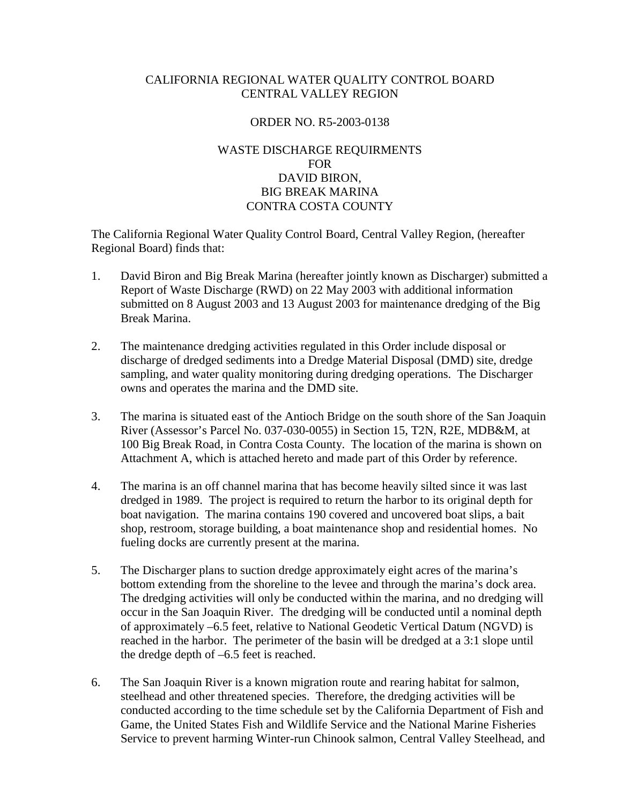# CALIFORNIA REGIONAL WATER QUALITY CONTROL BOARD CENTRAL VALLEY REGION

## ORDER NO. R5-2003-0138

# WASTE DISCHARGE REQUIRMENTS FOR DAVID BIRON, BIG BREAK MARINA CONTRA COSTA COUNTY

The California Regional Water Quality Control Board, Central Valley Region, (hereafter Regional Board) finds that:

- 1. David Biron and Big Break Marina (hereafter jointly known as Discharger) submitted a Report of Waste Discharge (RWD) on 22 May 2003 with additional information submitted on 8 August 2003 and 13 August 2003 for maintenance dredging of the Big Break Marina.
- 2. The maintenance dredging activities regulated in this Order include disposal or discharge of dredged sediments into a Dredge Material Disposal (DMD) site, dredge sampling, and water quality monitoring during dredging operations. The Discharger owns and operates the marina and the DMD site.
- 3. The marina is situated east of the Antioch Bridge on the south shore of the San Joaquin River (Assessor's Parcel No. 037-030-0055) in Section 15, T2N, R2E, MDB&M, at 100 Big Break Road, in Contra Costa County. The location of the marina is shown on Attachment A, which is attached hereto and made part of this Order by reference.
- 4. The marina is an off channel marina that has become heavily silted since it was last dredged in 1989. The project is required to return the harbor to its original depth for boat navigation. The marina contains 190 covered and uncovered boat slips, a bait shop, restroom, storage building, a boat maintenance shop and residential homes. No fueling docks are currently present at the marina.
- 5. The Discharger plans to suction dredge approximately eight acres of the marina's bottom extending from the shoreline to the levee and through the marina's dock area. The dredging activities will only be conducted within the marina, and no dredging will occur in the San Joaquin River. The dredging will be conducted until a nominal depth of approximately –6.5 feet, relative to National Geodetic Vertical Datum (NGVD) is reached in the harbor. The perimeter of the basin will be dredged at a 3:1 slope until the dredge depth of –6.5 feet is reached.
- 6. The San Joaquin River is a known migration route and rearing habitat for salmon, steelhead and other threatened species. Therefore, the dredging activities will be conducted according to the time schedule set by the California Department of Fish and Game, the United States Fish and Wildlife Service and the National Marine Fisheries Service to prevent harming Winter-run Chinook salmon, Central Valley Steelhead, and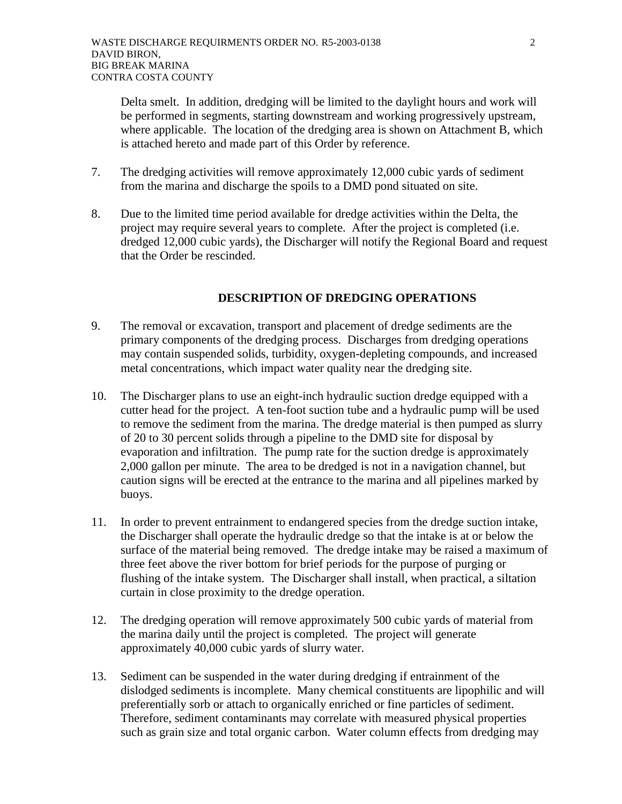Delta smelt. In addition, dredging will be limited to the daylight hours and work will be performed in segments, starting downstream and working progressively upstream, where applicable. The location of the dredging area is shown on Attachment B, which is attached hereto and made part of this Order by reference.

- 7. The dredging activities will remove approximately 12,000 cubic yards of sediment from the marina and discharge the spoils to a DMD pond situated on site.
- 8. Due to the limited time period available for dredge activities within the Delta, the project may require several years to complete. After the project is completed (i.e. dredged 12,000 cubic yards), the Discharger will notify the Regional Board and request that the Order be rescinded.

# **DESCRIPTION OF DREDGING OPERATIONS**

- 9. The removal or excavation, transport and placement of dredge sediments are the primary components of the dredging process. Discharges from dredging operations may contain suspended solids, turbidity, oxygen-depleting compounds, and increased metal concentrations, which impact water quality near the dredging site.
- 10. The Discharger plans to use an eight-inch hydraulic suction dredge equipped with a cutter head for the project. A ten-foot suction tube and a hydraulic pump will be used to remove the sediment from the marina. The dredge material is then pumped as slurry of 20 to 30 percent solids through a pipeline to the DMD site for disposal by evaporation and infiltration. The pump rate for the suction dredge is approximately 2,000 gallon per minute. The area to be dredged is not in a navigation channel, but caution signs will be erected at the entrance to the marina and all pipelines marked by buoys.
- 11. In order to prevent entrainment to endangered species from the dredge suction intake, the Discharger shall operate the hydraulic dredge so that the intake is at or below the surface of the material being removed. The dredge intake may be raised a maximum of three feet above the river bottom for brief periods for the purpose of purging or flushing of the intake system. The Discharger shall install, when practical, a siltation curtain in close proximity to the dredge operation.
- 12. The dredging operation will remove approximately 500 cubic yards of material from the marina daily until the project is completed. The project will generate approximately 40,000 cubic yards of slurry water.
- 13. Sediment can be suspended in the water during dredging if entrainment of the dislodged sediments is incomplete. Many chemical constituents are lipophilic and will preferentially sorb or attach to organically enriched or fine particles of sediment. Therefore, sediment contaminants may correlate with measured physical properties such as grain size and total organic carbon. Water column effects from dredging may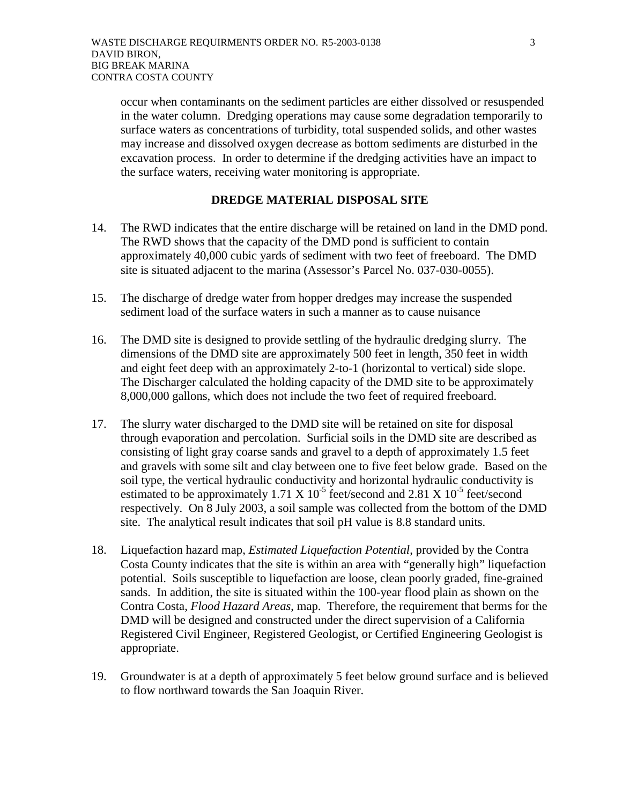occur when contaminants on the sediment particles are either dissolved or resuspended in the water column. Dredging operations may cause some degradation temporarily to surface waters as concentrations of turbidity, total suspended solids, and other wastes may increase and dissolved oxygen decrease as bottom sediments are disturbed in the excavation process. In order to determine if the dredging activities have an impact to the surface waters, receiving water monitoring is appropriate.

## **DREDGE MATERIAL DISPOSAL SITE**

- 14. The RWD indicates that the entire discharge will be retained on land in the DMD pond. The RWD shows that the capacity of the DMD pond is sufficient to contain approximately 40,000 cubic yards of sediment with two feet of freeboard. The DMD site is situated adjacent to the marina (Assessor's Parcel No. 037-030-0055).
- 15. The discharge of dredge water from hopper dredges may increase the suspended sediment load of the surface waters in such a manner as to cause nuisance
- 16. The DMD site is designed to provide settling of the hydraulic dredging slurry. The dimensions of the DMD site are approximately 500 feet in length, 350 feet in width and eight feet deep with an approximately 2-to-1 (horizontal to vertical) side slope. The Discharger calculated the holding capacity of the DMD site to be approximately 8,000,000 gallons, which does not include the two feet of required freeboard.
- 17. The slurry water discharged to the DMD site will be retained on site for disposal through evaporation and percolation. Surficial soils in the DMD site are described as consisting of light gray coarse sands and gravel to a depth of approximately 1.5 feet and gravels with some silt and clay between one to five feet below grade. Based on the soil type, the vertical hydraulic conductivity and horizontal hydraulic conductivity is estimated to be approximately 1.71 X  $10^{-5}$  feet/second and 2.81 X  $10^{-5}$  feet/second respectively. On 8 July 2003, a soil sample was collected from the bottom of the DMD site. The analytical result indicates that soil pH value is 8.8 standard units.
- 18. Liquefaction hazard map, *Estimated Liquefaction Potential*, provided by the Contra Costa County indicates that the site is within an area with "generally high" liquefaction potential. Soils susceptible to liquefaction are loose, clean poorly graded, fine-grained sands. In addition, the site is situated within the 100-year flood plain as shown on the Contra Costa, *Flood Hazard Areas*, map. Therefore, the requirement that berms for the DMD will be designed and constructed under the direct supervision of a California Registered Civil Engineer, Registered Geologist, or Certified Engineering Geologist is appropriate.
- 19. Groundwater is at a depth of approximately 5 feet below ground surface and is believed to flow northward towards the San Joaquin River.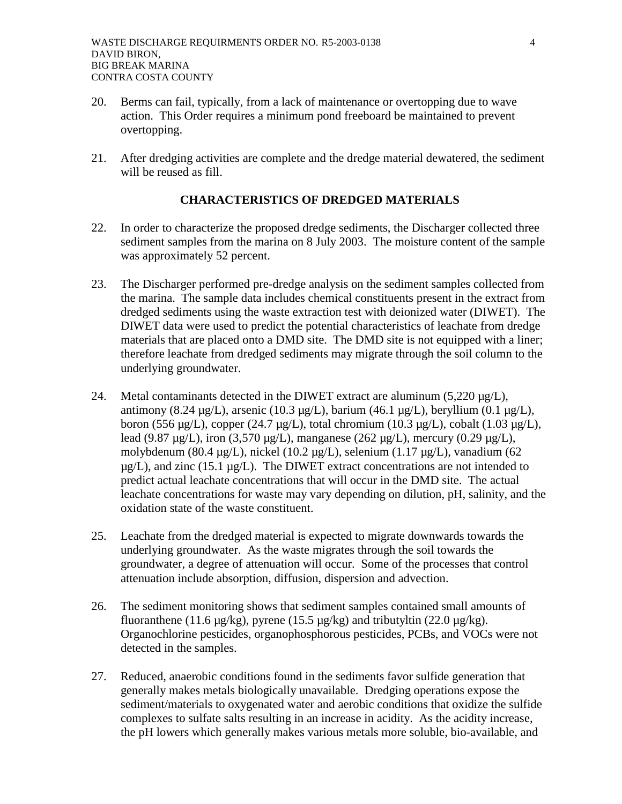- 20. Berms can fail, typically, from a lack of maintenance or overtopping due to wave action. This Order requires a minimum pond freeboard be maintained to prevent overtopping.
- 21. After dredging activities are complete and the dredge material dewatered, the sediment will be reused as fill.

# **CHARACTERISTICS OF DREDGED MATERIALS**

- 22. In order to characterize the proposed dredge sediments, the Discharger collected three sediment samples from the marina on 8 July 2003. The moisture content of the sample was approximately 52 percent.
- 23. The Discharger performed pre-dredge analysis on the sediment samples collected from the marina. The sample data includes chemical constituents present in the extract from dredged sediments using the waste extraction test with deionized water (DIWET). The DIWET data were used to predict the potential characteristics of leachate from dredge materials that are placed onto a DMD site. The DMD site is not equipped with a liner; therefore leachate from dredged sediments may migrate through the soil column to the underlying groundwater.
- 24. Metal contaminants detected in the DIWET extract are aluminum  $(5,220 \mu g/L)$ , antimony (8.24 µg/L), arsenic (10.3 µg/L), barium (46.1 µg/L), beryllium (0.1 µg/L), boron (556  $\mu$ g/L), copper (24.7  $\mu$ g/L), total chromium (10.3  $\mu$ g/L), cobalt (1.03  $\mu$ g/L), lead (9.87  $\mu$ g/L), iron (3,570  $\mu$ g/L), manganese (262  $\mu$ g/L), mercury (0.29  $\mu$ g/L), molybdenum (80.4 µg/L), nickel (10.2 µg/L), selenium (1.17 µg/L), vanadium (62  $\mu$ g/L), and zinc (15.1  $\mu$ g/L). The DIWET extract concentrations are not intended to predict actual leachate concentrations that will occur in the DMD site. The actual leachate concentrations for waste may vary depending on dilution, pH, salinity, and the oxidation state of the waste constituent.
- 25. Leachate from the dredged material is expected to migrate downwards towards the underlying groundwater. As the waste migrates through the soil towards the groundwater, a degree of attenuation will occur. Some of the processes that control attenuation include absorption, diffusion, dispersion and advection.
- 26. The sediment monitoring shows that sediment samples contained small amounts of fluoranthene (11.6  $\mu$ g/kg), pyrene (15.5  $\mu$ g/kg) and tributyltin (22.0  $\mu$ g/kg). Organochlorine pesticides, organophosphorous pesticides, PCBs, and VOCs were not detected in the samples.
- 27. Reduced, anaerobic conditions found in the sediments favor sulfide generation that generally makes metals biologically unavailable. Dredging operations expose the sediment/materials to oxygenated water and aerobic conditions that oxidize the sulfide complexes to sulfate salts resulting in an increase in acidity. As the acidity increase, the pH lowers which generally makes various metals more soluble, bio-available, and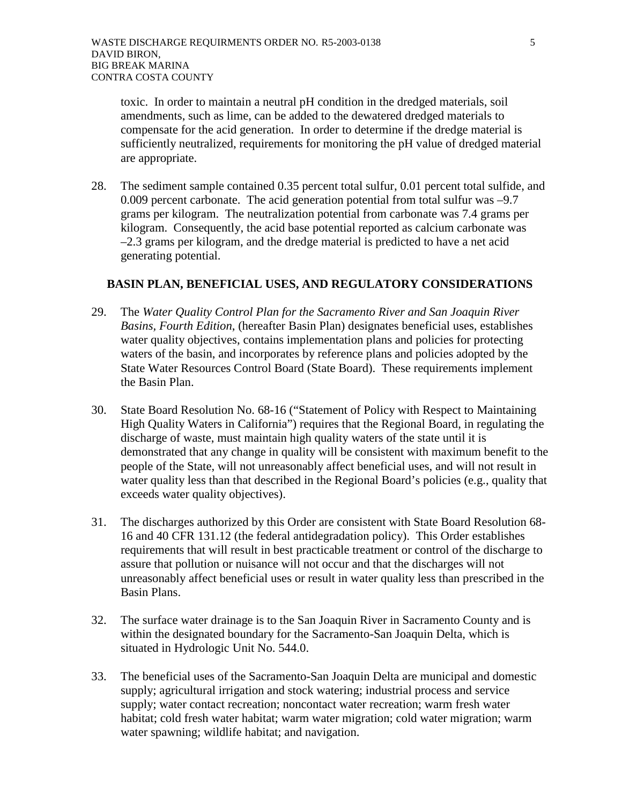toxic. In order to maintain a neutral pH condition in the dredged materials, soil amendments, such as lime, can be added to the dewatered dredged materials to compensate for the acid generation. In order to determine if the dredge material is sufficiently neutralized, requirements for monitoring the pH value of dredged material are appropriate.

28. The sediment sample contained 0.35 percent total sulfur, 0.01 percent total sulfide, and 0.009 percent carbonate. The acid generation potential from total sulfur was –9.7 grams per kilogram. The neutralization potential from carbonate was 7.4 grams per kilogram. Consequently, the acid base potential reported as calcium carbonate was –2.3 grams per kilogram, and the dredge material is predicted to have a net acid generating potential.

## **BASIN PLAN, BENEFICIAL USES, AND REGULATORY CONSIDERATIONS**

- 29. The *Water Quality Control Plan for the Sacramento River and San Joaquin River Basins, Fourth Edition*, (hereafter Basin Plan) designates beneficial uses, establishes water quality objectives, contains implementation plans and policies for protecting waters of the basin, and incorporates by reference plans and policies adopted by the State Water Resources Control Board (State Board). These requirements implement the Basin Plan.
- 30. State Board Resolution No. 68-16 ("Statement of Policy with Respect to Maintaining High Quality Waters in California") requires that the Regional Board, in regulating the discharge of waste, must maintain high quality waters of the state until it is demonstrated that any change in quality will be consistent with maximum benefit to the people of the State, will not unreasonably affect beneficial uses, and will not result in water quality less than that described in the Regional Board's policies (e.g., quality that exceeds water quality objectives).
- 31. The discharges authorized by this Order are consistent with State Board Resolution 68- 16 and 40 CFR 131.12 (the federal antidegradation policy). This Order establishes requirements that will result in best practicable treatment or control of the discharge to assure that pollution or nuisance will not occur and that the discharges will not unreasonably affect beneficial uses or result in water quality less than prescribed in the Basin Plans.
- 32. The surface water drainage is to the San Joaquin River in Sacramento County and is within the designated boundary for the Sacramento-San Joaquin Delta, which is situated in Hydrologic Unit No. 544.0.
- 33. The beneficial uses of the Sacramento-San Joaquin Delta are municipal and domestic supply; agricultural irrigation and stock watering; industrial process and service supply; water contact recreation; noncontact water recreation; warm fresh water habitat; cold fresh water habitat; warm water migration; cold water migration; warm water spawning; wildlife habitat; and navigation.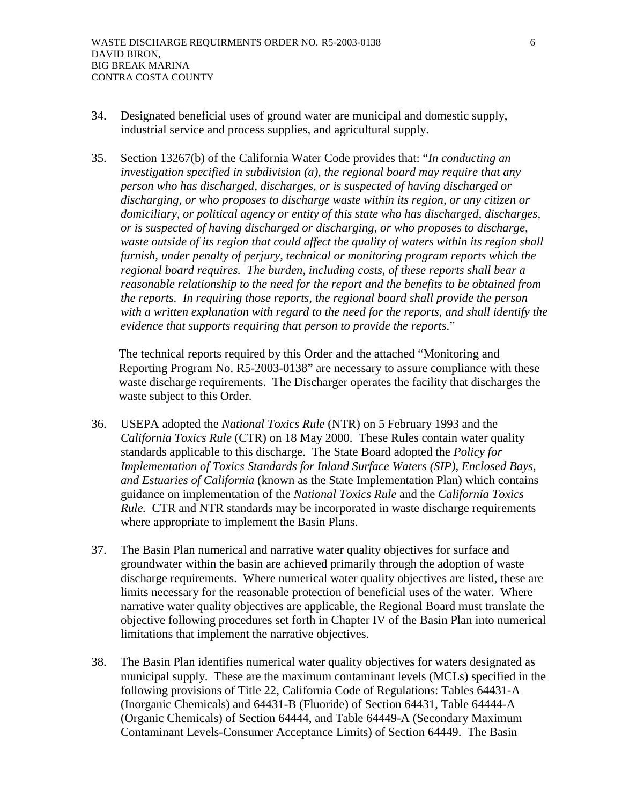- 34. Designated beneficial uses of ground water are municipal and domestic supply, industrial service and process supplies, and agricultural supply.
- 35. Section 13267(b) of the California Water Code provides that: "*In conducting an investigation specified in subdivision (a), the regional board may require that any person who has discharged, discharges, or is suspected of having discharged or discharging, or who proposes to discharge waste within its region, or any citizen or domiciliary, or political agency or entity of this state who has discharged, discharges, or is suspected of having discharged or discharging, or who proposes to discharge, waste outside of its region that could affect the quality of waters within its region shall furnish, under penalty of perjury, technical or monitoring program reports which the regional board requires. The burden, including costs, of these reports shall bear a reasonable relationship to the need for the report and the benefits to be obtained from the reports. In requiring those reports, the regional board shall provide the person with a written explanation with regard to the need for the reports, and shall identify the evidence that supports requiring that person to provide the reports*."

The technical reports required by this Order and the attached "Monitoring and Reporting Program No. R5-2003-0138" are necessary to assure compliance with these waste discharge requirements. The Discharger operates the facility that discharges the waste subject to this Order.

- 36. USEPA adopted the *National Toxics Rule* (NTR) on 5 February 1993 and the *California Toxics Rule* (CTR) on 18 May 2000. These Rules contain water quality standards applicable to this discharge. The State Board adopted the *Policy for Implementation of Toxics Standards for Inland Surface Waters (SIP), Enclosed Bays, and Estuaries of California* (known as the State Implementation Plan) which contains guidance on implementation of the *National Toxics Rule* and the *California Toxics Rule.* CTR and NTR standards may be incorporated in waste discharge requirements where appropriate to implement the Basin Plans.
- 37. The Basin Plan numerical and narrative water quality objectives for surface and groundwater within the basin are achieved primarily through the adoption of waste discharge requirements. Where numerical water quality objectives are listed, these are limits necessary for the reasonable protection of beneficial uses of the water. Where narrative water quality objectives are applicable, the Regional Board must translate the objective following procedures set forth in Chapter IV of the Basin Plan into numerical limitations that implement the narrative objectives.
- 38. The Basin Plan identifies numerical water quality objectives for waters designated as municipal supply. These are the maximum contaminant levels (MCLs) specified in the following provisions of Title 22, California Code of Regulations: Tables 64431-A (Inorganic Chemicals) and 64431-B (Fluoride) of Section 64431, Table 64444-A (Organic Chemicals) of Section 64444, and Table 64449-A (Secondary Maximum Contaminant Levels-Consumer Acceptance Limits) of Section 64449. The Basin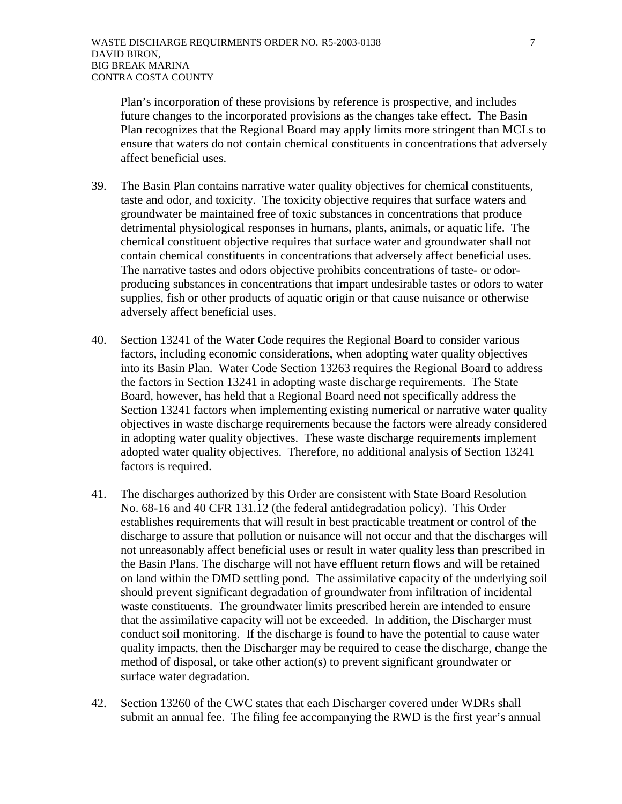Plan's incorporation of these provisions by reference is prospective, and includes future changes to the incorporated provisions as the changes take effect. The Basin Plan recognizes that the Regional Board may apply limits more stringent than MCLs to ensure that waters do not contain chemical constituents in concentrations that adversely affect beneficial uses.

- 39. The Basin Plan contains narrative water quality objectives for chemical constituents, taste and odor, and toxicity. The toxicity objective requires that surface waters and groundwater be maintained free of toxic substances in concentrations that produce detrimental physiological responses in humans, plants, animals, or aquatic life. The chemical constituent objective requires that surface water and groundwater shall not contain chemical constituents in concentrations that adversely affect beneficial uses. The narrative tastes and odors objective prohibits concentrations of taste- or odorproducing substances in concentrations that impart undesirable tastes or odors to water supplies, fish or other products of aquatic origin or that cause nuisance or otherwise adversely affect beneficial uses.
- 40. Section 13241 of the Water Code requires the Regional Board to consider various factors, including economic considerations, when adopting water quality objectives into its Basin Plan. Water Code Section 13263 requires the Regional Board to address the factors in Section 13241 in adopting waste discharge requirements. The State Board, however, has held that a Regional Board need not specifically address the Section 13241 factors when implementing existing numerical or narrative water quality objectives in waste discharge requirements because the factors were already considered in adopting water quality objectives. These waste discharge requirements implement adopted water quality objectives. Therefore, no additional analysis of Section 13241 factors is required.
- 41. The discharges authorized by this Order are consistent with State Board Resolution No. 68-16 and 40 CFR 131.12 (the federal antidegradation policy). This Order establishes requirements that will result in best practicable treatment or control of the discharge to assure that pollution or nuisance will not occur and that the discharges will not unreasonably affect beneficial uses or result in water quality less than prescribed in the Basin Plans. The discharge will not have effluent return flows and will be retained on land within the DMD settling pond. The assimilative capacity of the underlying soil should prevent significant degradation of groundwater from infiltration of incidental waste constituents. The groundwater limits prescribed herein are intended to ensure that the assimilative capacity will not be exceeded. In addition, the Discharger must conduct soil monitoring. If the discharge is found to have the potential to cause water quality impacts, then the Discharger may be required to cease the discharge, change the method of disposal, or take other action(s) to prevent significant groundwater or surface water degradation.
- 42. Section 13260 of the CWC states that each Discharger covered under WDRs shall submit an annual fee. The filing fee accompanying the RWD is the first year's annual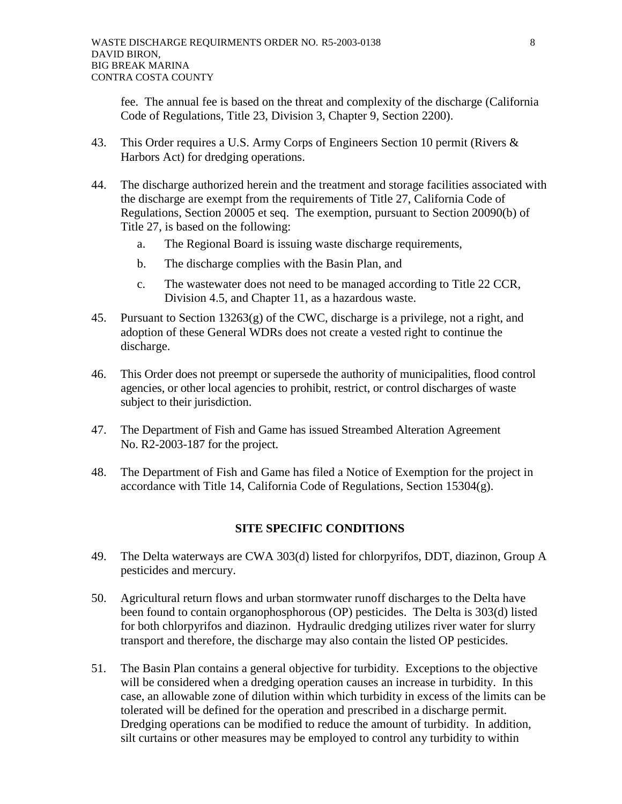fee. The annual fee is based on the threat and complexity of the discharge (California Code of Regulations, Title 23, Division 3, Chapter 9, Section 2200).

- 43. This Order requires a U.S. Army Corps of Engineers Section 10 permit (Rivers & Harbors Act) for dredging operations.
- 44. The discharge authorized herein and the treatment and storage facilities associated with the discharge are exempt from the requirements of Title 27, California Code of Regulations, Section 20005 et seq. The exemption, pursuant to Section 20090(b) of Title 27, is based on the following:
	- a. The Regional Board is issuing waste discharge requirements,
	- b. The discharge complies with the Basin Plan, and
	- c. The wastewater does not need to be managed according to Title 22 CCR, Division 4.5, and Chapter 11, as a hazardous waste.
- 45. Pursuant to Section 13263(g) of the CWC, discharge is a privilege, not a right, and adoption of these General WDRs does not create a vested right to continue the discharge.
- 46. This Order does not preempt or supersede the authority of municipalities, flood control agencies, or other local agencies to prohibit, restrict, or control discharges of waste subject to their jurisdiction.
- 47. The Department of Fish and Game has issued Streambed Alteration Agreement No. R2-2003-187 for the project.
- 48. The Department of Fish and Game has filed a Notice of Exemption for the project in accordance with Title 14, California Code of Regulations, Section 15304(g).

### **SITE SPECIFIC CONDITIONS**

- 49. The Delta waterways are CWA 303(d) listed for chlorpyrifos, DDT, diazinon, Group A pesticides and mercury.
- 50. Agricultural return flows and urban stormwater runoff discharges to the Delta have been found to contain organophosphorous (OP) pesticides. The Delta is 303(d) listed for both chlorpyrifos and diazinon. Hydraulic dredging utilizes river water for slurry transport and therefore, the discharge may also contain the listed OP pesticides.
- 51. The Basin Plan contains a general objective for turbidity. Exceptions to the objective will be considered when a dredging operation causes an increase in turbidity. In this case, an allowable zone of dilution within which turbidity in excess of the limits can be tolerated will be defined for the operation and prescribed in a discharge permit. Dredging operations can be modified to reduce the amount of turbidity. In addition, silt curtains or other measures may be employed to control any turbidity to within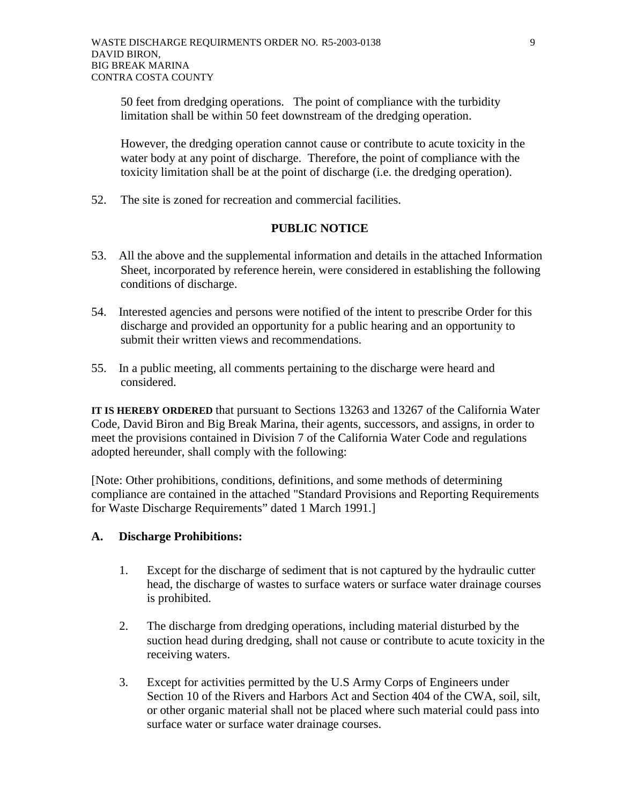50 feet from dredging operations. The point of compliance with the turbidity limitation shall be within 50 feet downstream of the dredging operation.

However, the dredging operation cannot cause or contribute to acute toxicity in the water body at any point of discharge. Therefore, the point of compliance with the toxicity limitation shall be at the point of discharge (i.e. the dredging operation).

52. The site is zoned for recreation and commercial facilities.

# **PUBLIC NOTICE**

- 53. All the above and the supplemental information and details in the attached Information Sheet, incorporated by reference herein, were considered in establishing the following conditions of discharge.
- 54. Interested agencies and persons were notified of the intent to prescribe Order for this discharge and provided an opportunity for a public hearing and an opportunity to submit their written views and recommendations.
- 55. In a public meeting, all comments pertaining to the discharge were heard and considered.

**IT IS HEREBY ORDERED** that pursuant to Sections 13263 and 13267 of the California Water Code, David Biron and Big Break Marina, their agents, successors, and assigns, in order to meet the provisions contained in Division 7 of the California Water Code and regulations adopted hereunder, shall comply with the following:

[Note: Other prohibitions, conditions, definitions, and some methods of determining compliance are contained in the attached "Standard Provisions and Reporting Requirements for Waste Discharge Requirements" dated 1 March 1991.]

# **A. Discharge Prohibitions:**

- 1. Except for the discharge of sediment that is not captured by the hydraulic cutter head, the discharge of wastes to surface waters or surface water drainage courses is prohibited.
- 2. The discharge from dredging operations, including material disturbed by the suction head during dredging, shall not cause or contribute to acute toxicity in the receiving waters.
- 3. Except for activities permitted by the U.S Army Corps of Engineers under Section 10 of the Rivers and Harbors Act and Section 404 of the CWA, soil, silt, or other organic material shall not be placed where such material could pass into surface water or surface water drainage courses.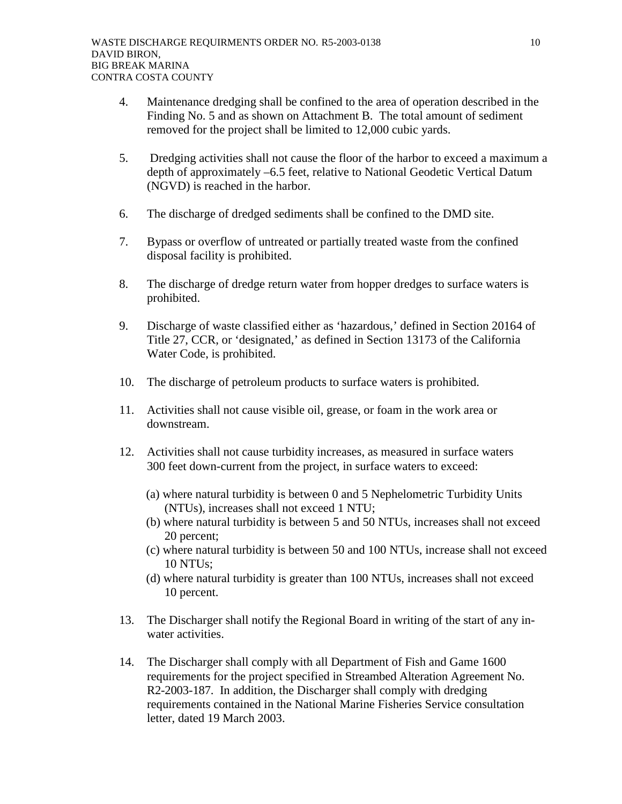- 4. Maintenance dredging shall be confined to the area of operation described in the Finding No. 5 and as shown on Attachment B. The total amount of sediment removed for the project shall be limited to 12,000 cubic yards.
- 5. Dredging activities shall not cause the floor of the harbor to exceed a maximum a depth of approximately –6.5 feet, relative to National Geodetic Vertical Datum (NGVD) is reached in the harbor.
- 6. The discharge of dredged sediments shall be confined to the DMD site.
- 7. Bypass or overflow of untreated or partially treated waste from the confined disposal facility is prohibited.
- 8. The discharge of dredge return water from hopper dredges to surface waters is prohibited.
- 9. Discharge of waste classified either as 'hazardous,' defined in Section 20164 of Title 27, CCR, or 'designated,' as defined in Section 13173 of the California Water Code, is prohibited.
- 10. The discharge of petroleum products to surface waters is prohibited.
- 11. Activities shall not cause visible oil, grease, or foam in the work area or downstream.
- 12. Activities shall not cause turbidity increases, as measured in surface waters 300 feet down-current from the project, in surface waters to exceed:
	- (a) where natural turbidity is between 0 and 5 Nephelometric Turbidity Units (NTUs), increases shall not exceed 1 NTU;
	- (b) where natural turbidity is between 5 and 50 NTUs, increases shall not exceed 20 percent;
	- (c) where natural turbidity is between 50 and 100 NTUs, increase shall not exceed 10 NTUs;
	- (d) where natural turbidity is greater than 100 NTUs, increases shall not exceed 10 percent.
- 13. The Discharger shall notify the Regional Board in writing of the start of any inwater activities.
- 14. The Discharger shall comply with all Department of Fish and Game 1600 requirements for the project specified in Streambed Alteration Agreement No. R2-2003-187. In addition, the Discharger shall comply with dredging requirements contained in the National Marine Fisheries Service consultation letter, dated 19 March 2003.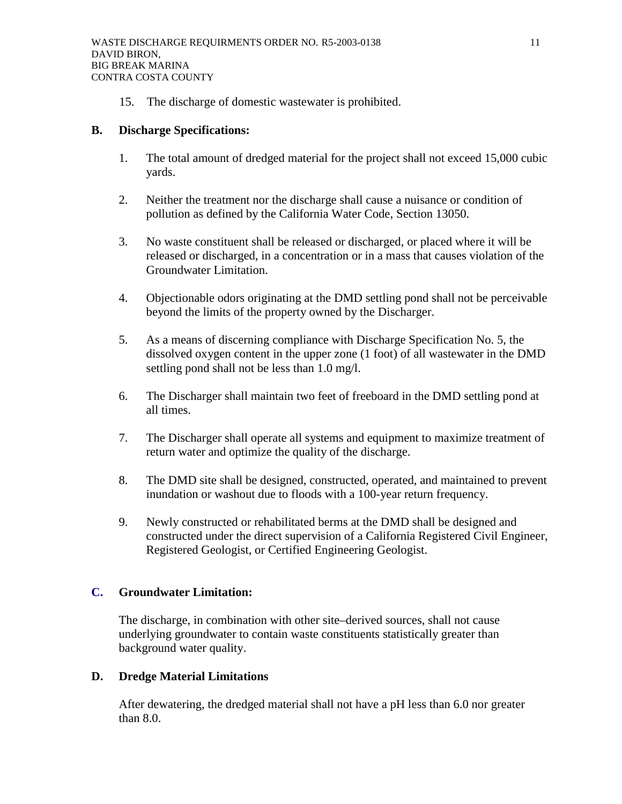15. The discharge of domestic wastewater is prohibited.

## **B. Discharge Specifications:**

- 1. The total amount of dredged material for the project shall not exceed 15,000 cubic yards.
- 2. Neither the treatment nor the discharge shall cause a nuisance or condition of pollution as defined by the California Water Code, Section 13050.
- 3. No waste constituent shall be released or discharged, or placed where it will be released or discharged, in a concentration or in a mass that causes violation of the Groundwater Limitation.
- 4. Objectionable odors originating at the DMD settling pond shall not be perceivable beyond the limits of the property owned by the Discharger.
- 5. As a means of discerning compliance with Discharge Specification No. 5, the dissolved oxygen content in the upper zone (1 foot) of all wastewater in the DMD settling pond shall not be less than 1.0 mg/l.
- 6. The Discharger shall maintain two feet of freeboard in the DMD settling pond at all times.
- 7. The Discharger shall operate all systems and equipment to maximize treatment of return water and optimize the quality of the discharge.
- 8. The DMD site shall be designed, constructed, operated, and maintained to prevent inundation or washout due to floods with a 100-year return frequency.
- 9. Newly constructed or rehabilitated berms at the DMD shall be designed and constructed under the direct supervision of a California Registered Civil Engineer, Registered Geologist, or Certified Engineering Geologist.

# **C. Groundwater Limitation:**

The discharge, in combination with other site–derived sources, shall not cause underlying groundwater to contain waste constituents statistically greater than background water quality.

# **D. Dredge Material Limitations**

After dewatering, the dredged material shall not have a pH less than 6.0 nor greater than 8.0.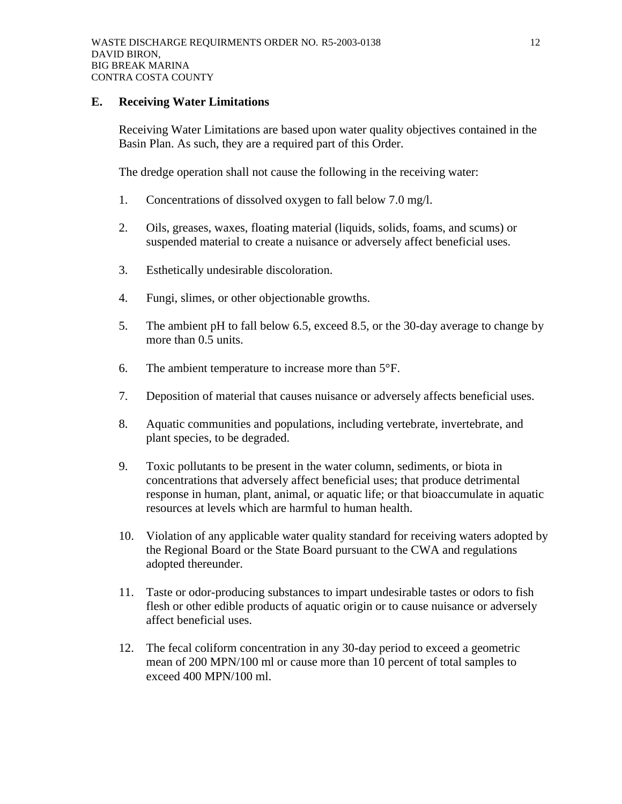### **E. Receiving Water Limitations**

Receiving Water Limitations are based upon water quality objectives contained in the Basin Plan. As such, they are a required part of this Order.

The dredge operation shall not cause the following in the receiving water:

- 1. Concentrations of dissolved oxygen to fall below 7.0 mg/l.
- 2. Oils, greases, waxes, floating material (liquids, solids, foams, and scums) or suspended material to create a nuisance or adversely affect beneficial uses.
- 3. Esthetically undesirable discoloration.
- 4. Fungi, slimes, or other objectionable growths.
- 5. The ambient pH to fall below 6.5, exceed 8.5, or the 30-day average to change by more than 0.5 units.
- 6. The ambient temperature to increase more than 5°F.
- 7. Deposition of material that causes nuisance or adversely affects beneficial uses.
- 8. Aquatic communities and populations, including vertebrate, invertebrate, and plant species, to be degraded.
- 9. Toxic pollutants to be present in the water column, sediments, or biota in concentrations that adversely affect beneficial uses; that produce detrimental response in human, plant, animal, or aquatic life; or that bioaccumulate in aquatic resources at levels which are harmful to human health.
- 10. Violation of any applicable water quality standard for receiving waters adopted by the Regional Board or the State Board pursuant to the CWA and regulations adopted thereunder.
- 11. Taste or odor-producing substances to impart undesirable tastes or odors to fish flesh or other edible products of aquatic origin or to cause nuisance or adversely affect beneficial uses.
- 12. The fecal coliform concentration in any 30-day period to exceed a geometric mean of 200 MPN/100 ml or cause more than 10 percent of total samples to exceed 400 MPN/100 ml.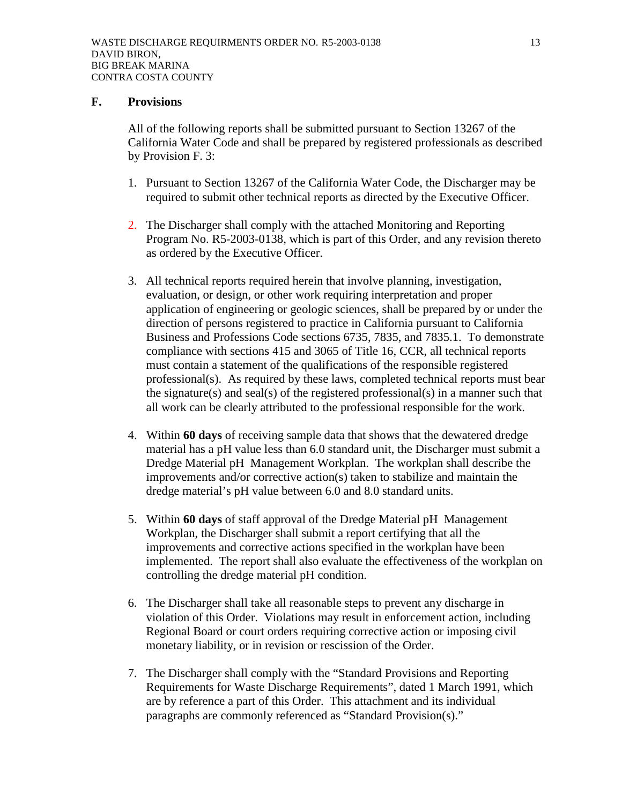## **F. Provisions**

All of the following reports shall be submitted pursuant to Section 13267 of the California Water Code and shall be prepared by registered professionals as described by Provision F. 3:

- 1. Pursuant to Section 13267 of the California Water Code, the Discharger may be required to submit other technical reports as directed by the Executive Officer.
- 2. The Discharger shall comply with the attached Monitoring and Reporting Program No. R5-2003-0138, which is part of this Order, and any revision thereto as ordered by the Executive Officer.
- 3. All technical reports required herein that involve planning, investigation, evaluation, or design, or other work requiring interpretation and proper application of engineering or geologic sciences, shall be prepared by or under the direction of persons registered to practice in California pursuant to California Business and Professions Code sections 6735, 7835, and 7835.1. To demonstrate compliance with sections 415 and 3065 of Title 16, CCR, all technical reports must contain a statement of the qualifications of the responsible registered professional(s). As required by these laws, completed technical reports must bear the signature(s) and seal(s) of the registered professional(s) in a manner such that all work can be clearly attributed to the professional responsible for the work.
- 4. Within **60 days** of receiving sample data that shows that the dewatered dredge material has a pH value less than 6.0 standard unit, the Discharger must submit a Dredge Material pH Management Workplan. The workplan shall describe the improvements and/or corrective action(s) taken to stabilize and maintain the dredge material's pH value between 6.0 and 8.0 standard units.
- 5. Within **60 days** of staff approval of the Dredge Material pH Management Workplan, the Discharger shall submit a report certifying that all the improvements and corrective actions specified in the workplan have been implemented. The report shall also evaluate the effectiveness of the workplan on controlling the dredge material pH condition.
- 6. The Discharger shall take all reasonable steps to prevent any discharge in violation of this Order. Violations may result in enforcement action, including Regional Board or court orders requiring corrective action or imposing civil monetary liability, or in revision or rescission of the Order.
- 7. The Discharger shall comply with the "Standard Provisions and Reporting Requirements for Waste Discharge Requirements", dated 1 March 1991, which are by reference a part of this Order. This attachment and its individual paragraphs are commonly referenced as "Standard Provision(s)."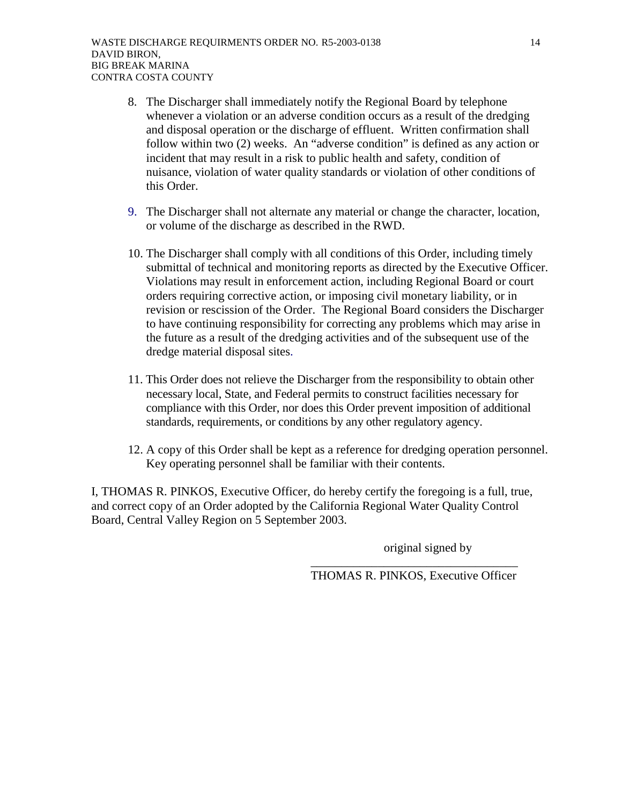- 8. The Discharger shall immediately notify the Regional Board by telephone whenever a violation or an adverse condition occurs as a result of the dredging and disposal operation or the discharge of effluent. Written confirmation shall follow within two (2) weeks. An "adverse condition" is defined as any action or incident that may result in a risk to public health and safety, condition of nuisance, violation of water quality standards or violation of other conditions of this Order.
- 9. The Discharger shall not alternate any material or change the character, location, or volume of the discharge as described in the RWD.
- 10. The Discharger shall comply with all conditions of this Order, including timely submittal of technical and monitoring reports as directed by the Executive Officer. Violations may result in enforcement action, including Regional Board or court orders requiring corrective action, or imposing civil monetary liability, or in revision or rescission of the Order. The Regional Board considers the Discharger to have continuing responsibility for correcting any problems which may arise in the future as a result of the dredging activities and of the subsequent use of the dredge material disposal sites.
- 11. This Order does not relieve the Discharger from the responsibility to obtain other necessary local, State, and Federal permits to construct facilities necessary for compliance with this Order, nor does this Order prevent imposition of additional standards, requirements, or conditions by any other regulatory agency.
- 12. A copy of this Order shall be kept as a reference for dredging operation personnel. Key operating personnel shall be familiar with their contents.

I, THOMAS R. PINKOS, Executive Officer, do hereby certify the foregoing is a full, true, and correct copy of an Order adopted by the California Regional Water Quality Control Board, Central Valley Region on 5 September 2003.

original signed by

THOMAS R. PINKOS, Executive Officer

 $\overline{\phantom{a}}$  ,  $\overline{\phantom{a}}$  ,  $\overline{\phantom{a}}$  ,  $\overline{\phantom{a}}$  ,  $\overline{\phantom{a}}$  ,  $\overline{\phantom{a}}$  ,  $\overline{\phantom{a}}$  ,  $\overline{\phantom{a}}$  ,  $\overline{\phantom{a}}$  ,  $\overline{\phantom{a}}$  ,  $\overline{\phantom{a}}$  ,  $\overline{\phantom{a}}$  ,  $\overline{\phantom{a}}$  ,  $\overline{\phantom{a}}$  ,  $\overline{\phantom{a}}$  ,  $\overline{\phantom{a}}$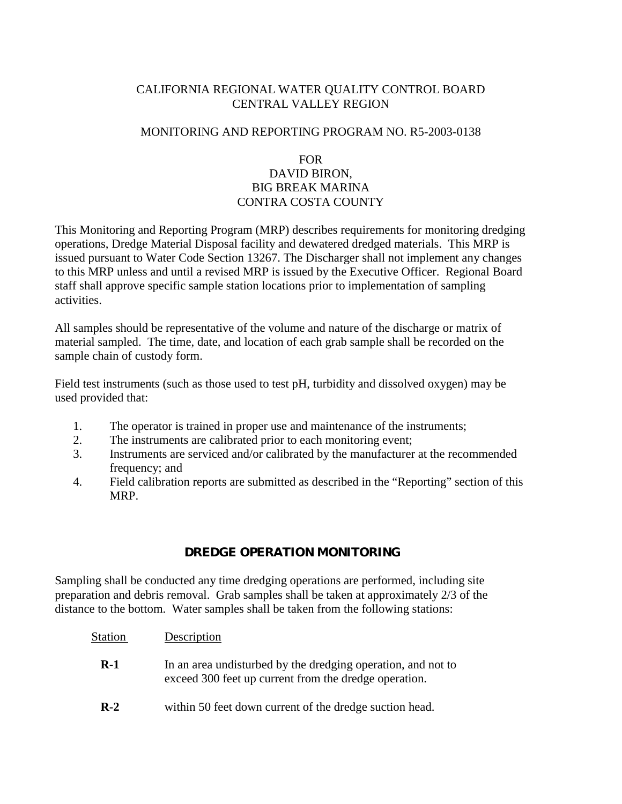# CALIFORNIA REGIONAL WATER QUALITY CONTROL BOARD CENTRAL VALLEY REGION

# MONITORING AND REPORTING PROGRAM NO. R5-2003-0138

### FOR

# DAVID BIRON, BIG BREAK MARINA CONTRA COSTA COUNTY

This Monitoring and Reporting Program (MRP) describes requirements for monitoring dredging operations, Dredge Material Disposal facility and dewatered dredged materials. This MRP is issued pursuant to Water Code Section 13267. The Discharger shall not implement any changes to this MRP unless and until a revised MRP is issued by the Executive Officer. Regional Board staff shall approve specific sample station locations prior to implementation of sampling activities.

All samples should be representative of the volume and nature of the discharge or matrix of material sampled. The time, date, and location of each grab sample shall be recorded on the sample chain of custody form.

Field test instruments (such as those used to test pH, turbidity and dissolved oxygen) may be used provided that:

- 1. The operator is trained in proper use and maintenance of the instruments;
- 2. The instruments are calibrated prior to each monitoring event;
- 3. Instruments are serviced and/or calibrated by the manufacturer at the recommended frequency; and
- 4. Field calibration reports are submitted as described in the "Reporting" section of this MRP.

# **DREDGE OPERATION MONITORING**

Sampling shall be conducted any time dredging operations are performed, including site preparation and debris removal. Grab samples shall be taken at approximately 2/3 of the distance to the bottom. Water samples shall be taken from the following stations:

### Station Description

- **R-1** In an area undisturbed by the dredging operation, and not to exceed 300 feet up current from the dredge operation.
- **R-2** within 50 feet down current of the dredge suction head.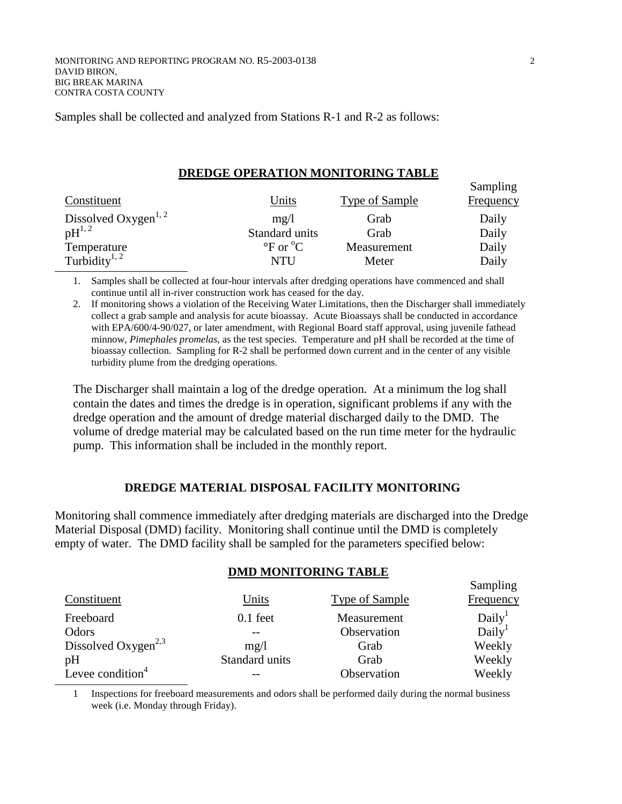Samples shall be collected and analyzed from Stations R-1 and R-2 as follows:

#### **DREDGE OPERATION MONITORING TABLE**

| Constituent                      | <u>Units</u>                                           | <b>Type of Sample</b> | Sampling<br><b>Frequency</b> |
|----------------------------------|--------------------------------------------------------|-----------------------|------------------------------|
| Dissolved Oxygen <sup>1, 2</sup> | mg/1                                                   | Grab                  | Daily                        |
| $pH^{1,2}$                       | Standard units                                         | Grab                  | Daily                        |
| Temperature                      | $\mathrm{P}_{\mathrm{C}}$ or $\mathrm{C}_{\mathrm{C}}$ | Measurement           | Daily                        |
| Turbidity <sup>1, 2</sup>        | <b>NTU</b>                                             | Meter                 | Daily                        |

1. Samples shall be collected at four-hour intervals after dredging operations have commenced and shall continue until all in-river construction work has ceased for the day.

2. If monitoring shows a violation of the Receiving Water Limitations, then the Discharger shall immediately collect a grab sample and analysis for acute bioassay. Acute Bioassays shall be conducted in accordance with EPA/600/4-90/027, or later amendment, with Regional Board staff approval, using juvenile fathead minnow, *Pimephales promelas*, as the test species. Temperature and pH shall be recorded at the time of bioassay collection. Sampling for R-2 shall be performed down current and in the center of any visible turbidity plume from the dredging operations.

The Discharger shall maintain a log of the dredge operation. At a minimum the log shall contain the dates and times the dredge is in operation, significant problems if any with the dredge operation and the amount of dredge material discharged daily to the DMD. The volume of dredge material may be calculated based on the run time meter for the hydraulic pump. This information shall be included in the monthly report.

### **DREDGE MATERIAL DISPOSAL FACILITY MONITORING**

Monitoring shall commence immediately after dredging materials are discharged into the Dredge Material Disposal (DMD) facility. Monitoring shall continue until the DMD is completely empty of water. The DMD facility shall be sampled for the parameters specified below:

#### **DMD MONITORING TABLE**

|                                 |                |                | Sampling           |
|---------------------------------|----------------|----------------|--------------------|
| Constituent                     | Units          | Type of Sample | Frequency          |
| Freeboard                       | $0.1$ feet     | Measurement    | Daily <sup>1</sup> |
| Odors                           |                | Observation    | Daily <sup>1</sup> |
| Dissolved Oxygen <sup>2,3</sup> | mg/l           | Grab           | Weekly             |
| pH                              | Standard units | Grab           | Weekly             |
| Levee condition $4$             |                | Observation    | Weekly             |

1 Inspections for freeboard measurements and odors shall be performed daily during the normal business week (i.e. Monday through Friday).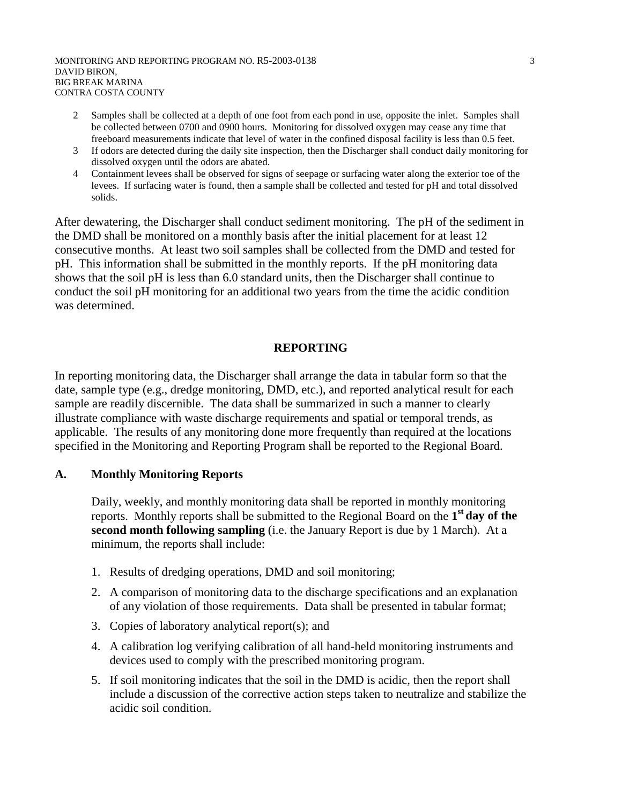- 2 Samples shall be collected at a depth of one foot from each pond in use, opposite the inlet. Samples shall be collected between 0700 and 0900 hours. Monitoring for dissolved oxygen may cease any time that freeboard measurements indicate that level of water in the confined disposal facility is less than 0.5 feet.
- 3 If odors are detected during the daily site inspection, then the Discharger shall conduct daily monitoring for dissolved oxygen until the odors are abated.
- 4 Containment levees shall be observed for signs of seepage or surfacing water along the exterior toe of the levees. If surfacing water is found, then a sample shall be collected and tested for pH and total dissolved solids.

After dewatering, the Discharger shall conduct sediment monitoring. The pH of the sediment in the DMD shall be monitored on a monthly basis after the initial placement for at least 12 consecutive months. At least two soil samples shall be collected from the DMD and tested for pH. This information shall be submitted in the monthly reports. If the pH monitoring data shows that the soil pH is less than 6.0 standard units, then the Discharger shall continue to conduct the soil pH monitoring for an additional two years from the time the acidic condition was determined.

# **REPORTING**

In reporting monitoring data, the Discharger shall arrange the data in tabular form so that the date, sample type (e.g., dredge monitoring, DMD, etc.), and reported analytical result for each sample are readily discernible. The data shall be summarized in such a manner to clearly illustrate compliance with waste discharge requirements and spatial or temporal trends, as applicable. The results of any monitoring done more frequently than required at the locations specified in the Monitoring and Reporting Program shall be reported to the Regional Board.

# **A. Monthly Monitoring Reports**

Daily, weekly, and monthly monitoring data shall be reported in monthly monitoring reports. Monthly reports shall be submitted to the Regional Board on the **1st day of the second month following sampling** (i.e. the January Report is due by 1 March). At a minimum, the reports shall include:

- 1. Results of dredging operations, DMD and soil monitoring;
- 2. A comparison of monitoring data to the discharge specifications and an explanation of any violation of those requirements. Data shall be presented in tabular format;
- 3. Copies of laboratory analytical report(s); and
- 4. A calibration log verifying calibration of all hand-held monitoring instruments and devices used to comply with the prescribed monitoring program.
- 5. If soil monitoring indicates that the soil in the DMD is acidic, then the report shall include a discussion of the corrective action steps taken to neutralize and stabilize the acidic soil condition.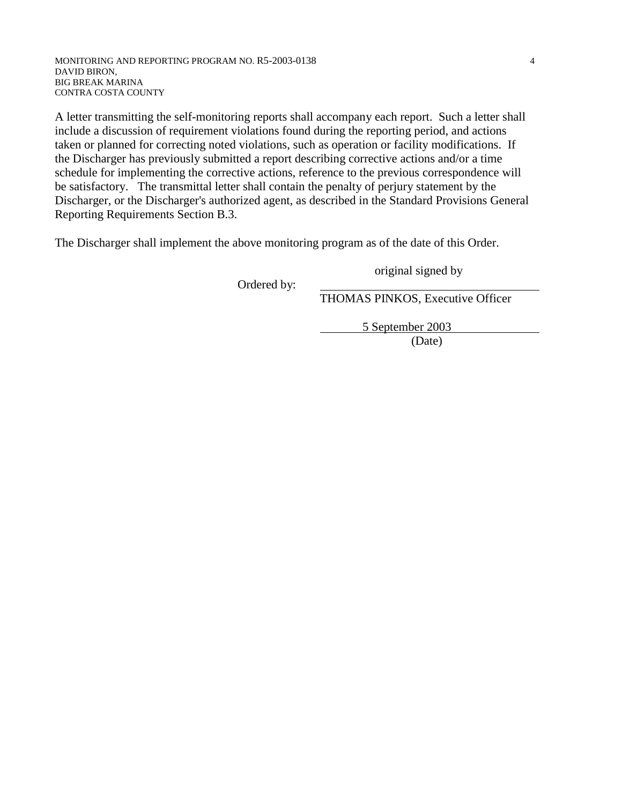A letter transmitting the self-monitoring reports shall accompany each report. Such a letter shall include a discussion of requirement violations found during the reporting period, and actions taken or planned for correcting noted violations, such as operation or facility modifications. If the Discharger has previously submitted a report describing corrective actions and/or a time schedule for implementing the corrective actions, reference to the previous correspondence will be satisfactory. The transmittal letter shall contain the penalty of perjury statement by the Discharger, or the Discharger's authorized agent, as described in the Standard Provisions General Reporting Requirements Section B.3.

The Discharger shall implement the above monitoring program as of the date of this Order.

original signed by

Ordered by:

THOMAS PINKOS, Executive Officer

5 September 2003

(Date)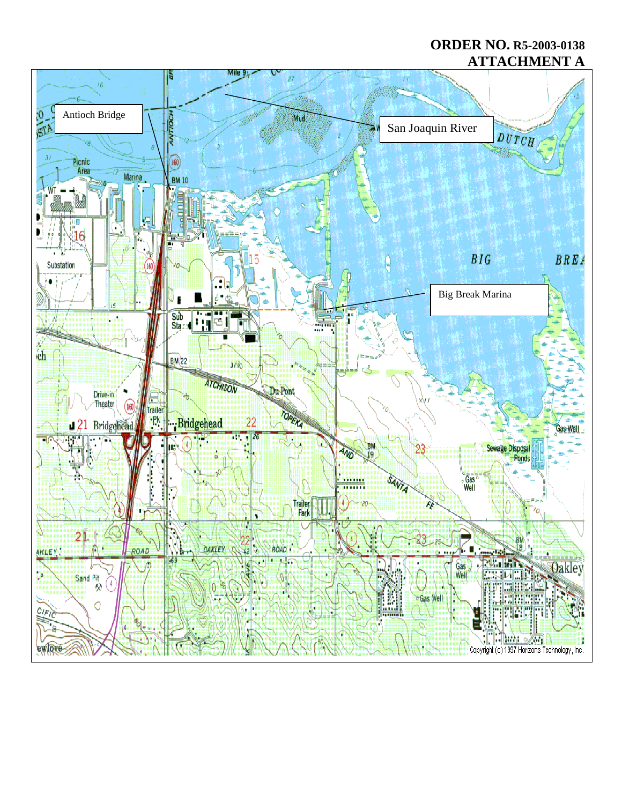# **ORDER NO. R5-2003-0138 ATTACHMENT A**

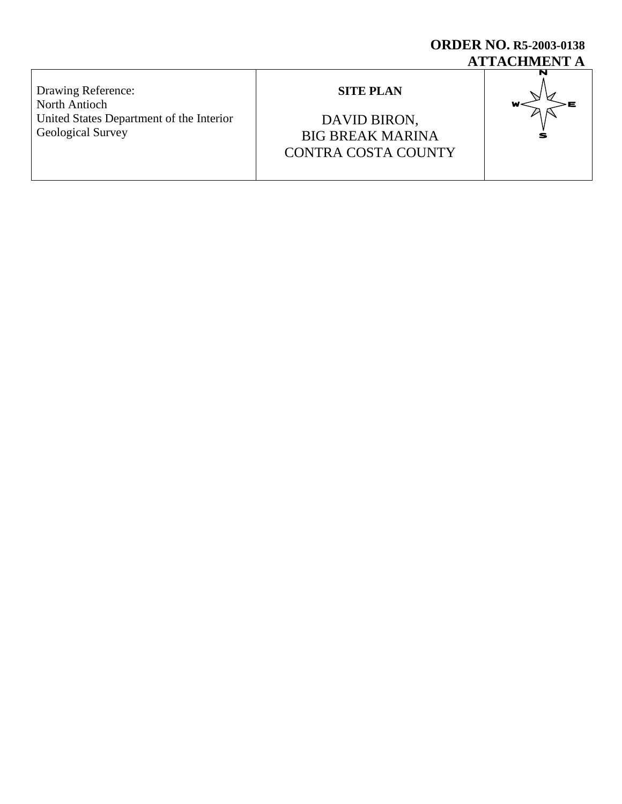# **ORDER NO. R5-2003-0138 ATTACHMENT A**

Drawing Reference: North Antioch United States Department of the Interior Geological Survey

# **SITE PLAN**

DAVID BIRON, BIG BREAK MARINA CONTRA COSTA COUNTY

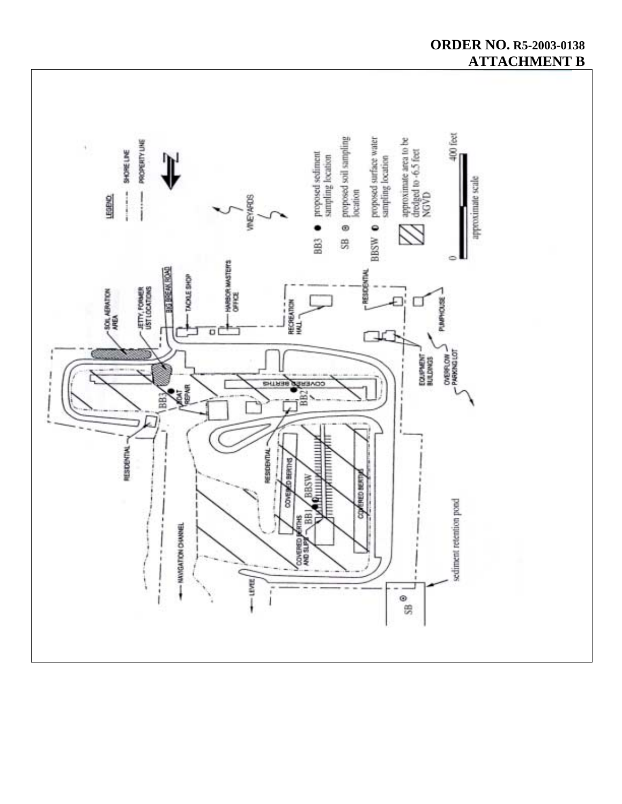

# **ORDER NO. R5-2003-0138 ATTACHMENT B**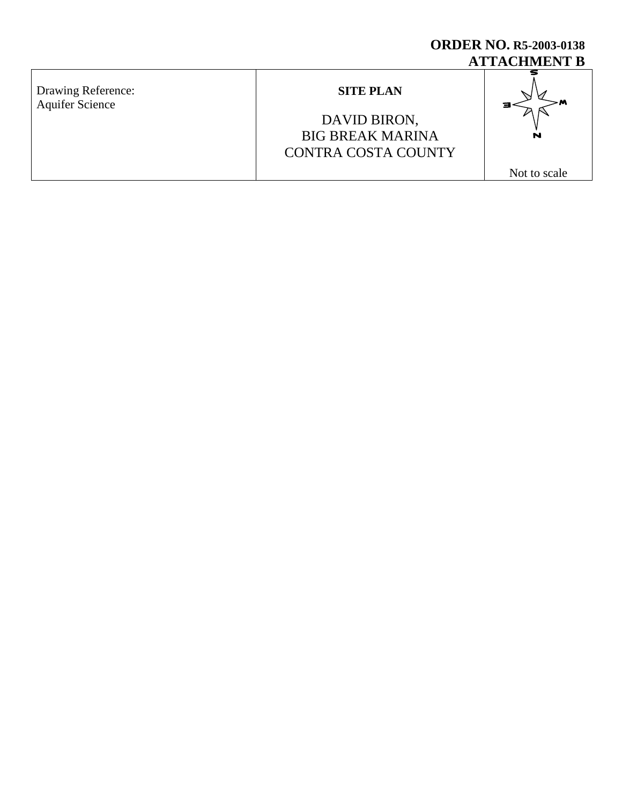# **ORDER NO. R5-2003-0138 ATTACHMENT B**

Drawing Reference: Aquifer Science

# **SITE PLAN**

# DAVID BIRON, BIG BREAK MARINA CONTRA COSTA COUNTY



Not to scale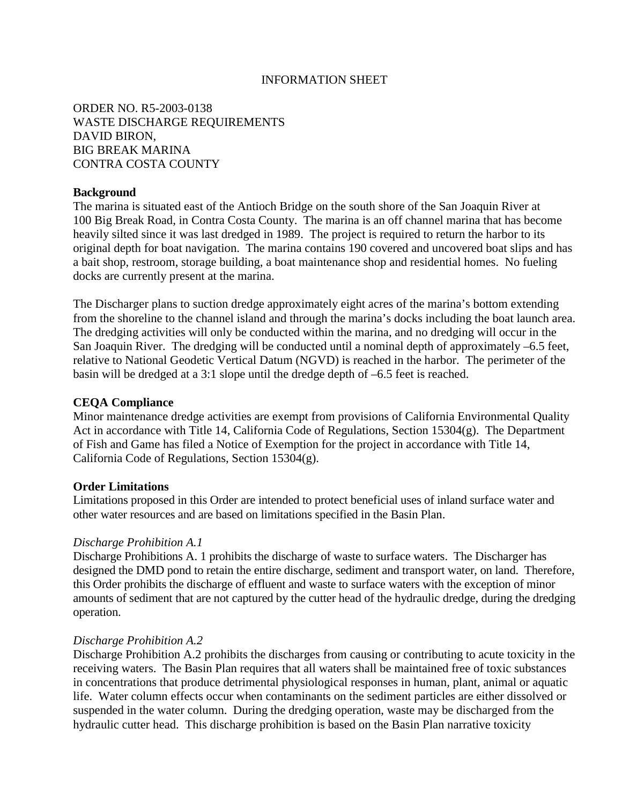## INFORMATION SHEET

ORDER NO. R5-2003-0138 WASTE DISCHARGE REQUIREMENTS DAVID BIRON, BIG BREAK MARINA CONTRA COSTA COUNTY

### **Background**

The marina is situated east of the Antioch Bridge on the south shore of the San Joaquin River at 100 Big Break Road, in Contra Costa County. The marina is an off channel marina that has become heavily silted since it was last dredged in 1989. The project is required to return the harbor to its original depth for boat navigation. The marina contains 190 covered and uncovered boat slips and has a bait shop, restroom, storage building, a boat maintenance shop and residential homes. No fueling docks are currently present at the marina.

The Discharger plans to suction dredge approximately eight acres of the marina's bottom extending from the shoreline to the channel island and through the marina's docks including the boat launch area. The dredging activities will only be conducted within the marina, and no dredging will occur in the San Joaquin River. The dredging will be conducted until a nominal depth of approximately –6.5 feet, relative to National Geodetic Vertical Datum (NGVD) is reached in the harbor. The perimeter of the basin will be dredged at a 3:1 slope until the dredge depth of –6.5 feet is reached.

#### **CEQA Compliance**

Minor maintenance dredge activities are exempt from provisions of California Environmental Quality Act in accordance with Title 14, California Code of Regulations, Section 15304(g). The Department of Fish and Game has filed a Notice of Exemption for the project in accordance with Title 14, California Code of Regulations, Section 15304(g).

#### **Order Limitations**

Limitations proposed in this Order are intended to protect beneficial uses of inland surface water and other water resources and are based on limitations specified in the Basin Plan.

### *Discharge Prohibition A.1*

Discharge Prohibitions A. 1 prohibits the discharge of waste to surface waters. The Discharger has designed the DMD pond to retain the entire discharge, sediment and transport water, on land. Therefore, this Order prohibits the discharge of effluent and waste to surface waters with the exception of minor amounts of sediment that are not captured by the cutter head of the hydraulic dredge, during the dredging operation.

#### *Discharge Prohibition A.2*

Discharge Prohibition A.2 prohibits the discharges from causing or contributing to acute toxicity in the receiving waters. The Basin Plan requires that all waters shall be maintained free of toxic substances in concentrations that produce detrimental physiological responses in human, plant, animal or aquatic life. Water column effects occur when contaminants on the sediment particles are either dissolved or suspended in the water column. During the dredging operation, waste may be discharged from the hydraulic cutter head. This discharge prohibition is based on the Basin Plan narrative toxicity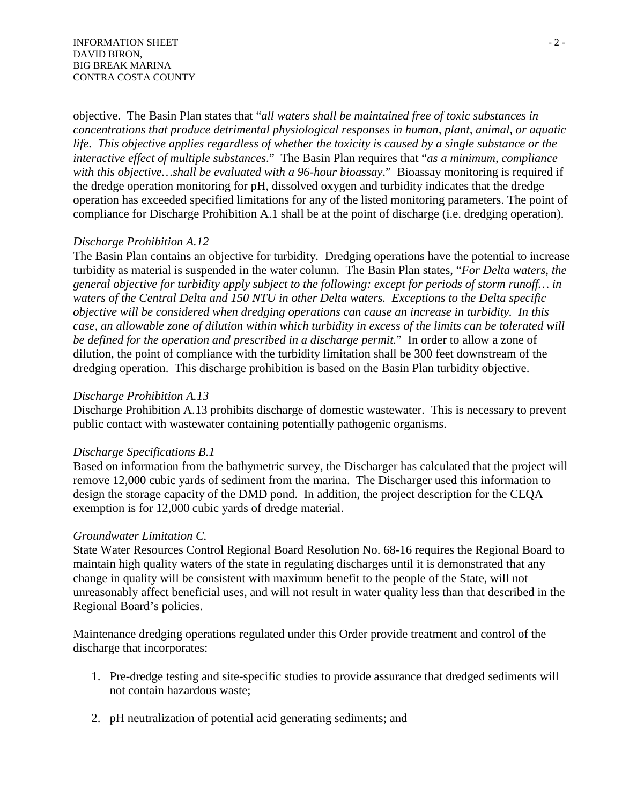objective. The Basin Plan states that "*all waters shall be maintained free of toxic substances in concentrations that produce detrimental physiological responses in human, plant, animal, or aquatic life*. *This objective applies regardless of whether the toxicity is caused by a single substance or the interactive effect of multiple substances*." The Basin Plan requires that "*as a minimum, compliance with this objective…shall be evaluated with a 96-hour bioassay*." Bioassay monitoring is required if the dredge operation monitoring for pH, dissolved oxygen and turbidity indicates that the dredge operation has exceeded specified limitations for any of the listed monitoring parameters. The point of compliance for Discharge Prohibition A.1 shall be at the point of discharge (i.e. dredging operation).

# *Discharge Prohibition A.12*

The Basin Plan contains an objective for turbidity. Dredging operations have the potential to increase turbidity as material is suspended in the water column. The Basin Plan states, "*For Delta waters, the general objective for turbidity apply subject to the following: except for periods of storm runoff… in waters of the Central Delta and 150 NTU in other Delta waters. Exceptions to the Delta specific objective will be considered when dredging operations can cause an increase in turbidity. In this case, an allowable zone of dilution within which turbidity in excess of the limits can be tolerated will be defined for the operation and prescribed in a discharge permit.*" In order to allow a zone of dilution, the point of compliance with the turbidity limitation shall be 300 feet downstream of the dredging operation. This discharge prohibition is based on the Basin Plan turbidity objective.

# *Discharge Prohibition A.13*

Discharge Prohibition A.13 prohibits discharge of domestic wastewater. This is necessary to prevent public contact with wastewater containing potentially pathogenic organisms.

# *Discharge Specifications B.1*

Based on information from the bathymetric survey, the Discharger has calculated that the project will remove 12,000 cubic yards of sediment from the marina. The Discharger used this information to design the storage capacity of the DMD pond. In addition, the project description for the CEQA exemption is for 12,000 cubic yards of dredge material.

# *Groundwater Limitation C.*

State Water Resources Control Regional Board Resolution No. 68-16 requires the Regional Board to maintain high quality waters of the state in regulating discharges until it is demonstrated that any change in quality will be consistent with maximum benefit to the people of the State, will not unreasonably affect beneficial uses, and will not result in water quality less than that described in the Regional Board's policies.

Maintenance dredging operations regulated under this Order provide treatment and control of the discharge that incorporates:

- 1. Pre-dredge testing and site-specific studies to provide assurance that dredged sediments will not contain hazardous waste;
- 2. pH neutralization of potential acid generating sediments; and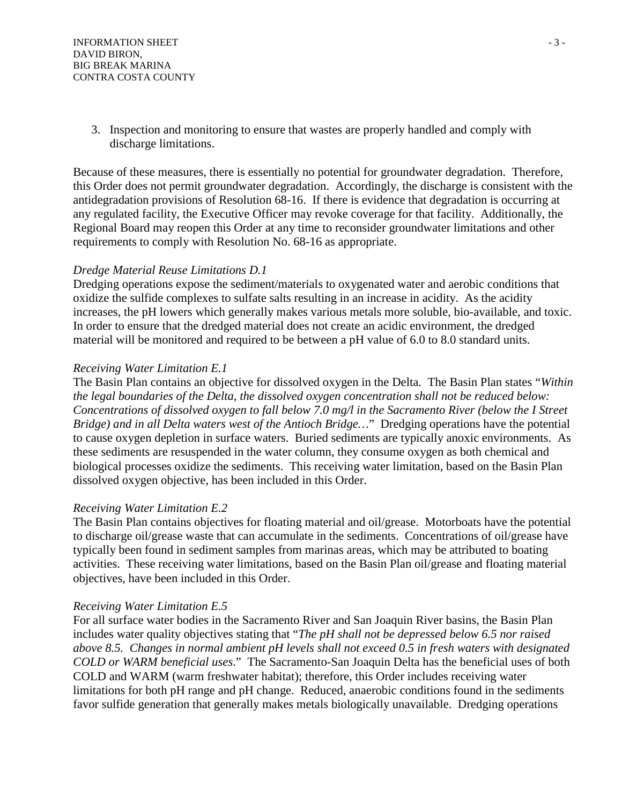3. Inspection and monitoring to ensure that wastes are properly handled and comply with discharge limitations.

Because of these measures, there is essentially no potential for groundwater degradation. Therefore, this Order does not permit groundwater degradation. Accordingly, the discharge is consistent with the antidegradation provisions of Resolution 68-16. If there is evidence that degradation is occurring at any regulated facility, the Executive Officer may revoke coverage for that facility. Additionally, the Regional Board may reopen this Order at any time to reconsider groundwater limitations and other requirements to comply with Resolution No. 68-16 as appropriate.

# *Dredge Material Reuse Limitations D.1*

Dredging operations expose the sediment/materials to oxygenated water and aerobic conditions that oxidize the sulfide complexes to sulfate salts resulting in an increase in acidity. As the acidity increases, the pH lowers which generally makes various metals more soluble, bio-available, and toxic. In order to ensure that the dredged material does not create an acidic environment, the dredged material will be monitored and required to be between a pH value of 6.0 to 8.0 standard units.

# *Receiving Water Limitation E.1*

The Basin Plan contains an objective for dissolved oxygen in the Delta. The Basin Plan states "*Within the legal boundaries of the Delta, the dissolved oxygen concentration shall not be reduced below: Concentrations of dissolved oxygen to fall below 7.0 mg/l in the Sacramento River (below the I Street Bridge) and in all Delta waters west of the Antioch Bridge…*" Dredging operations have the potential to cause oxygen depletion in surface waters. Buried sediments are typically anoxic environments. As these sediments are resuspended in the water column, they consume oxygen as both chemical and biological processes oxidize the sediments. This receiving water limitation, based on the Basin Plan dissolved oxygen objective, has been included in this Order.

# *Receiving Water Limitation E.2*

The Basin Plan contains objectives for floating material and oil/grease. Motorboats have the potential to discharge oil/grease waste that can accumulate in the sediments. Concentrations of oil/grease have typically been found in sediment samples from marinas areas, which may be attributed to boating activities. These receiving water limitations, based on the Basin Plan oil/grease and floating material objectives, have been included in this Order.

# *Receiving Water Limitation E.5*

For all surface water bodies in the Sacramento River and San Joaquin River basins, the Basin Plan includes water quality objectives stating that "*The pH shall not be depressed below 6.5 nor raised above 8.5. Changes in normal ambient pH levels shall not exceed 0.5 in fresh waters with designated COLD or WARM beneficial uses*." The Sacramento-San Joaquin Delta has the beneficial uses of both COLD and WARM (warm freshwater habitat); therefore, this Order includes receiving water limitations for both pH range and pH change. Reduced, anaerobic conditions found in the sediments favor sulfide generation that generally makes metals biologically unavailable. Dredging operations